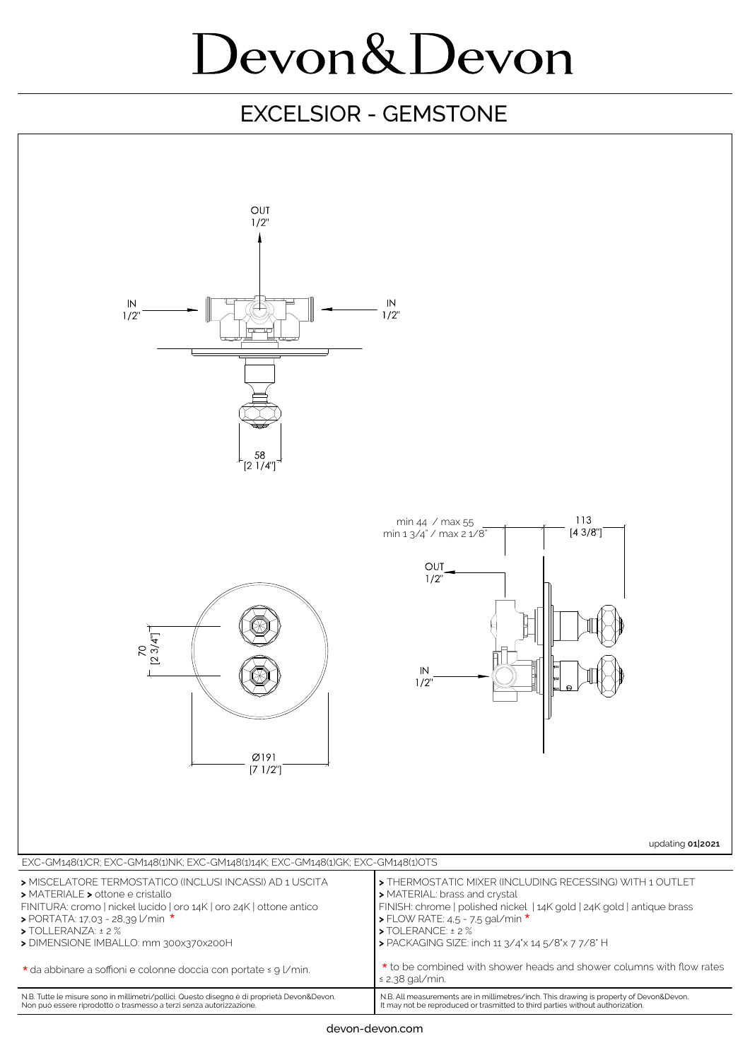# Devon&Devon

### EXCELSIOR - GEMSTONE

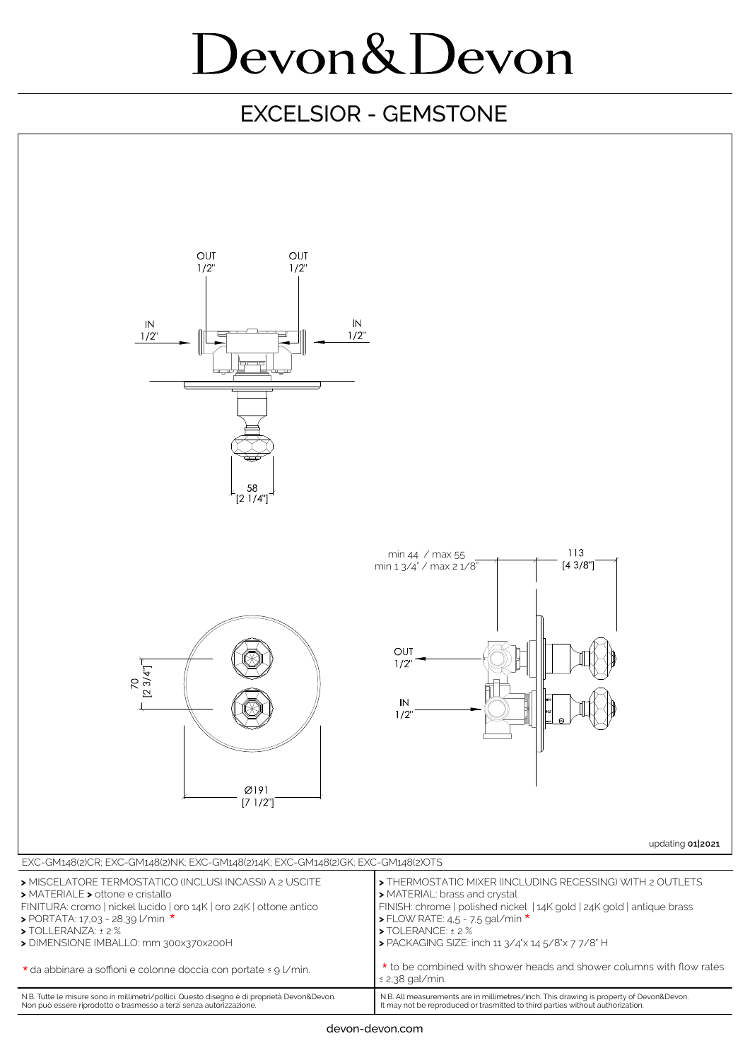# Devon&Devon

### EXCELSIOR - GEMSTONE



It may not be reproduced or trasmitted to third parties without authorization.

Non può essere riprodotto o trasmesso a terzi senza autorizzazione.